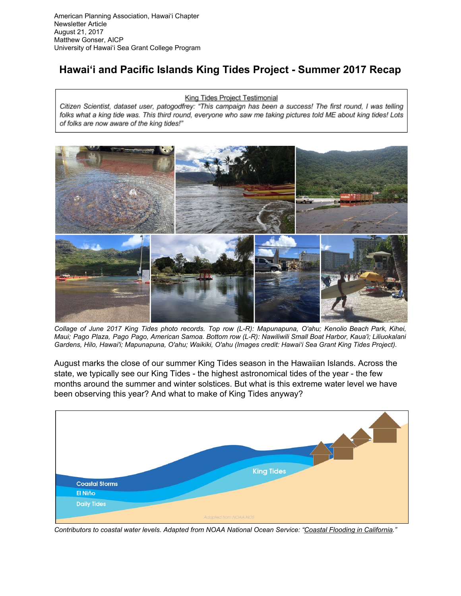## **Hawai'i and Pacific Islands King Tides Project - Summer 2017 Recap**

## King Tides Project Testimonial

Citizen Scientist, dataset user, patogodfrey: "This campaign has been a success! The first round, I was telling folks what a king tide was. This third round, everyone who saw me taking pictures told ME about king tides! Lots of folks are now aware of the king tides!"



Collage of June 2017 King Tides photo records. Top row (L-R): Mapunapuna, O'ahu; Kenolio Beach Park, Kihei, Maui; Pago Plaza, Pago Pago, American Samoa. Bottom row (L-R): Nawiliwili Small Boat Harbor, Kaua'i; Liliuokalani *Gardens, Hilo, Hawai'i; Mapunapuna, O'ahu; Waikiki, O'ahu (Images credit: Hawai'i Sea Grant King Tides Project).*

August marks the close of our summer King Tides season in the Hawaiian Islands. Across the state, we typically see our King Tides - the highest astronomical tides of the year - the few months around the summer and winter solstices. But what is this extreme water level we have been observing this year? And what to make of King Tides anyway?



Contributors to coastal water levels. Adapted from NOAA National Ocean Service: "Coastal Flooding in [California.](http://oceanservice.noaa.gov/news/dec15/california-flooding.html)"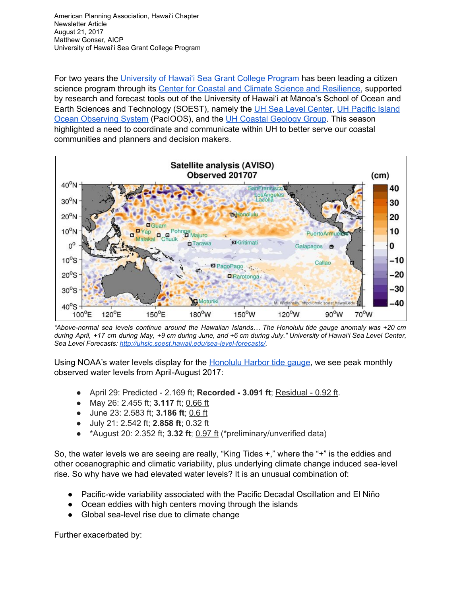For two years the [University](http://seagrant.soest.hawaii.edu/) of Hawai'i Sea Grant College Program has been leading a citizen science program through its Center for Coastal and Climate Science and [Resilience,](http://ccsr.seagrant.soest.hawaii.edu/) supported by research and forecast tools out of the University of Hawai'i at Mānoa's School of Ocean and Earth Sciences and Technology (SOEST), namely the UH Sea Level [Center,](http://uhslc.soest.hawaii.edu/) UH [Pacific](http://www.pacioos.hawaii.edu/) Island Ocean [Observing](http://www.pacioos.hawaii.edu/) System (PacIOOS), and the UH Coastal [Geology](http://www.soest.hawaii.edu/coasts/) Group. This season highlighted a need to coordinate and communicate within UH to better serve our coastal communities and planners and decision makers.



*"Above-normal sea levels continue around the Hawaiian Islands… The Honolulu tide gauge anomaly was +20 cm* during April, +17 cm during May, +9 cm during June, and +6 cm during July." University of Hawai'i Sea Level Center, *Sea Level Forecasts: [http://uhslc.soest.hawaii.edu/sea-level-forecasts/.](http://uhslc.soest.hawaii.edu/sea-level-forecasts/)*

Using NOAA's water levels display for the **[Honolulu](https://tidesandcurrents.noaa.gov/stationhome.html?id=1612340) Harbor tide gauge**, we see peak monthly observed water levels from April-August 2017:

- April 29: Predicted 2.169 ft; **Recorded - 3.091 ft**; Residual 0.92 ft.
- May 26: 2.455 ft; **3.117** ft; 0.66 ft
- June 23: 2.583 ft; **3.186 ft**; 0.6 ft
- July 21: 2.542 ft; **2.858 ft**; 0.32 ft
- \*August 20: 2.352 ft; **3.32 ft**; 0.97 ft (\*preliminary/unverified data)

So, the water levels we are seeing are really, "King Tides +," where the "+" is the eddies and other oceanographic and climatic variability, plus underlying climate change induced sea-level rise. So why have we had elevated water levels? It is an unusual combination of:

- Pacific-wide variability associated with the Pacific Decadal Oscillation and El Niño
- Ocean eddies with high centers moving through the islands
- Global sea-level rise due to climate change

Further exacerbated by: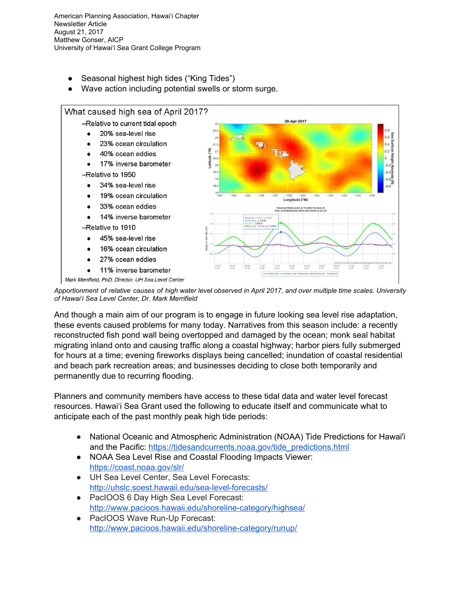- Seasonal highest high tides ("King Tides")
- Wave action including potential swells or storm surge.



Apportionment of relative causes of high water level observed in April 2017, and over multiple time scales. University *of Hawai'i Sea Level Center, Dr. Mark Merrifield*

And though a main aim of our program is to engage in future looking sea level rise adaptation, these events caused problems for many today. Narratives from this season include: a recently reconstructed fish pond wall being overtopped and damaged by the ocean; monk seal habitat migrating inland onto and causing traffic along a coastal highway; harbor piers fully submerged for hours at a time; evening fireworks displays being cancelled; inundation of coastal residential and beach park recreation areas; and businesses deciding to close both temporarily and permanently due to recurring flooding.

Planners and community members have access to these tidal data and water level forecast resources. Hawai'i Sea Grant used the following to educate itself and communicate what to anticipate each of the past monthly peak high tide periods:

- National Oceanic and Atmospheric Administration (NOAA) Tide Predictions for Hawai'i and the Pacific: [https://tidesandcurrents.noaa.gov/tide\\_predictions.html](https://tidesandcurrents.noaa.gov/tide_predictions.html)
- NOAA Sea Level Rise and Coastal Flooding Impacts Viewer: <https://coast.noaa.gov/slr/>
- UH Sea Level Center, Sea Level Forecasts: <http://uhslc.soest.hawaii.edu/sea-level-forecasts/>
- PacIOOS 6 Day High Sea Level Forecast: <http://www.pacioos.hawaii.edu/shoreline-category/highsea/>
- PacIOOS Wave Run-Up Forecast: <http://www.pacioos.hawaii.edu/shoreline-category/runup/>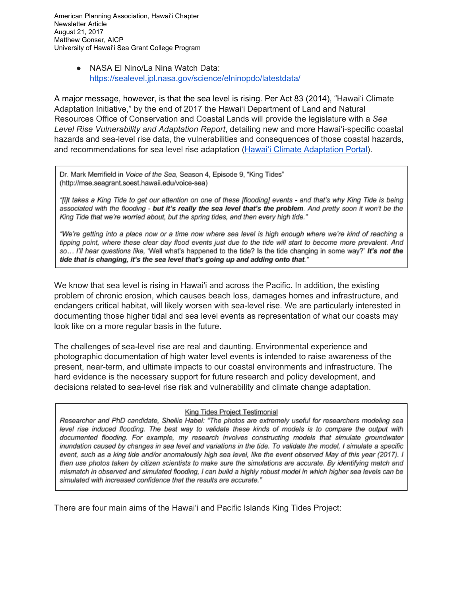> ● NASA El Nino/La Nina Watch Data: <https://sealevel.jpl.nasa.gov/science/elninopdo/latestdata/>

A major message, however, is that the sea level is rising. Per Act 83 (2014), "Hawai'i Climate Adaptation Initiative," by the end of 2017 the Hawai'i Department of Land and Natural Resources Office of Conservation and Coastal Lands will provide the legislature with a *Sea Level Rise Vulnerability and Adaptation Report*, detailing new and more Hawai'i-specific coastal hazards and sea-level rise data, the vulnerabilities and consequences of those coastal hazards, and recommendations for sea level rise adaptation (Hawai'i Climate [Adaptation](http://climateadaptation.hawaii.gov/) Portal).

Dr. Mark Merrifield in Voice of the Sea, Season 4, Episode 9, "King Tides" (http://mse.seagrant.soest.hawaii.edu/voice-sea)

"[I]t takes a King Tide to get our attention on one of these [flooding] events - and that's why King Tide is being associated with the flooding - but it's really the sea level that's the problem. And pretty soon it won't be the King Tide that we're worried about, but the spring tides, and then every high tide."

"We're getting into a place now or a time now where sea level is high enough where we're kind of reaching a tipping point, where these clear day flood events just due to the tide will start to become more prevalent. And so... I'll hear questions like, 'Well what's happened to the tide? Is the tide changing in some way?' It's not the tide that is changing, it's the sea level that's going up and adding onto that."

We know that sea level is rising in Hawai'i and across the Pacific. In addition, the existing problem of chronic erosion, which causes beach loss, damages homes and infrastructure, and endangers critical habitat, will likely worsen with sea-level rise. We are particularly interested in documenting those higher tidal and sea level events as representation of what our coasts may look like on a more regular basis in the future.

The challenges of sea-level rise are real and daunting. Environmental experience and photographic documentation of high water level events is intended to raise awareness of the present, near-term, and ultimate impacts to our coastal environments and infrastructure. The hard evidence is the necessary support for future research and policy development, and decisions related to sea-level rise risk and vulnerability and climate change adaptation.

## King Tides Project Testimonial

Researcher and PhD candidate, Shellie Habel: "The photos are extremely useful for researchers modeling sea level rise induced flooding. The best way to validate these kinds of models is to compare the output with documented flooding. For example, my research involves constructing models that simulate groundwater inundation caused by changes in sea level and variations in the tide. To validate the model, I simulate a specific event, such as a king tide and/or anomalously high sea level, like the event observed May of this year (2017). I then use photos taken by citizen scientists to make sure the simulations are accurate. By identifying match and mismatch in observed and simulated flooding, I can build a highly robust model in which higher sea levels can be simulated with increased confidence that the results are accurate."

There are four main aims of the Hawai'i and Pacific Islands King Tides Project: